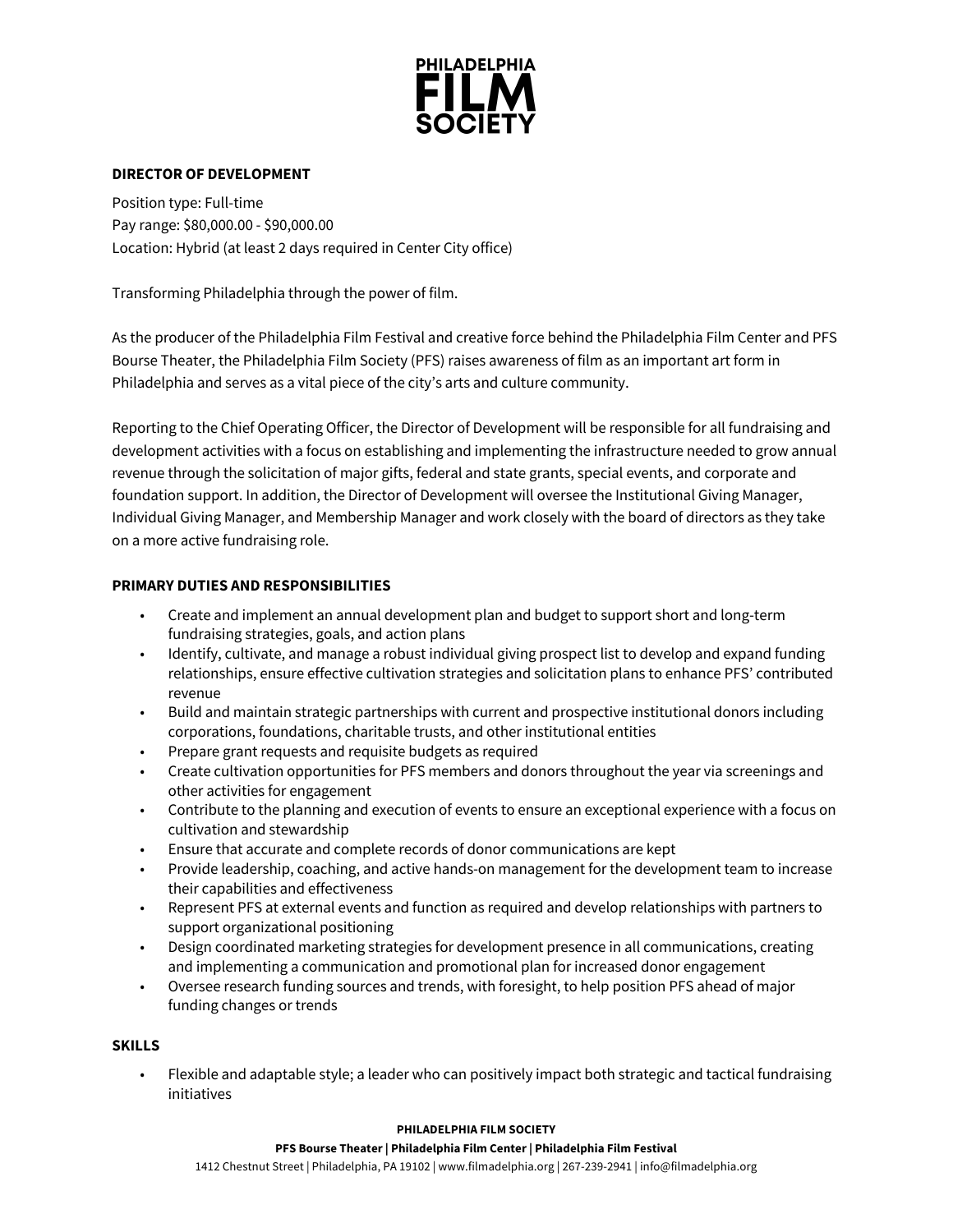

## **DIRECTOR OF DEVELOPMENT**

Position type: Full-time Pay range: \$80,000.00 - \$90,000.00 Location: Hybrid (at least 2 days required in Center City office)

Transforming Philadelphia through the power of film.

As the producer of the Philadelphia Film Festival and creative force behind the Philadelphia Film Center and PFS Bourse Theater, the Philadelphia Film Society (PFS) raises awareness of film as an important art form in Philadelphia and serves as a vital piece of the city's arts and culture community.

Reporting to the Chief Operating Officer, the Director of Development will be responsible for all fundraising and development activities with a focus on establishing and implementing the infrastructure needed to grow annual revenue through the solicitation of major gifts, federal and state grants, special events, and corporate and foundation support. In addition, the Director of Development will oversee the Institutional Giving Manager, Individual Giving Manager, and Membership Manager and work closely with the board of directors as they take on a more active fundraising role.

### **PRIMARY DUTIES AND RESPONSIBILITIES**

- Create and implement an annual development plan and budget to support short and long-term fundraising strategies, goals, and action plans
- Identify, cultivate, and manage a robust individual giving prospect list to develop and expand funding relationships, ensure effective cultivation strategies and solicitation plans to enhance PFS' contributed revenue
- Build and maintain strategic partnerships with current and prospective institutional donors including corporations, foundations, charitable trusts, and other institutional entities
- Prepare grant requests and requisite budgets as required
- Create cultivation opportunities for PFS members and donors throughout the year via screenings and other activities for engagement
- Contribute to the planning and execution of events to ensure an exceptional experience with a focus on cultivation and stewardship
- Ensure that accurate and complete records of donor communications are kept
- Provide leadership, coaching, and active hands-on management for the development team to increase their capabilities and effectiveness
- Represent PFS at external events and function as required and develop relationships with partners to support organizational positioning
- Design coordinated marketing strategies for development presence in all communications, creating and implementing a communication and promotional plan for increased donor engagement
- Oversee research funding sources and trends, with foresight, to help position PFS ahead of major funding changes or trends

### **SKILLS**

• Flexible and adaptable style; a leader who can positively impact both strategic and tactical fundraising initiatives

#### **PHILADELPHIA FILM SOCIETY**